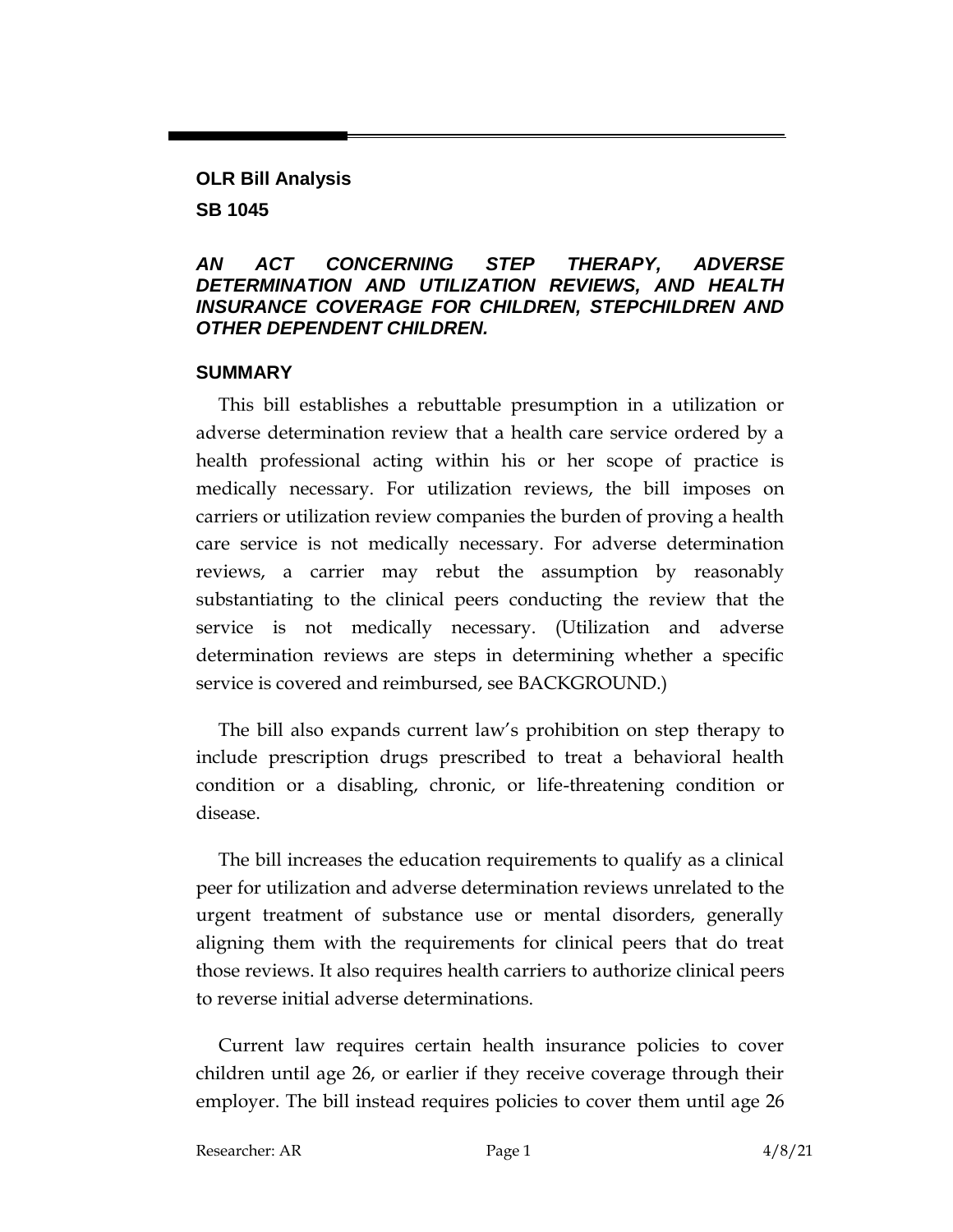# **OLR Bill Analysis SB 1045**

#### *AN ACT CONCERNING STEP THERAPY, ADVERSE DETERMINATION AND UTILIZATION REVIEWS, AND HEALTH INSURANCE COVERAGE FOR CHILDREN, STEPCHILDREN AND OTHER DEPENDENT CHILDREN.*

#### **SUMMARY**

This bill establishes a rebuttable presumption in a utilization or adverse determination review that a health care service ordered by a health professional acting within his or her scope of practice is medically necessary. For utilization reviews, the bill imposes on carriers or utilization review companies the burden of proving a health care service is not medically necessary. For adverse determination reviews, a carrier may rebut the assumption by reasonably substantiating to the clinical peers conducting the review that the service is not medically necessary. (Utilization and adverse determination reviews are steps in determining whether a specific service is covered and reimbursed, see BACKGROUND.)

The bill also expands current law's prohibition on step therapy to include prescription drugs prescribed to treat a behavioral health condition or a disabling, chronic, or life-threatening condition or disease.

The bill increases the education requirements to qualify as a clinical peer for utilization and adverse determination reviews unrelated to the urgent treatment of substance use or mental disorders, generally aligning them with the requirements for clinical peers that do treat those reviews. It also requires health carriers to authorize clinical peers to reverse initial adverse determinations.

Current law requires certain health insurance policies to cover children until age 26, or earlier if they receive coverage through their employer. The bill instead requires policies to cover them until age 26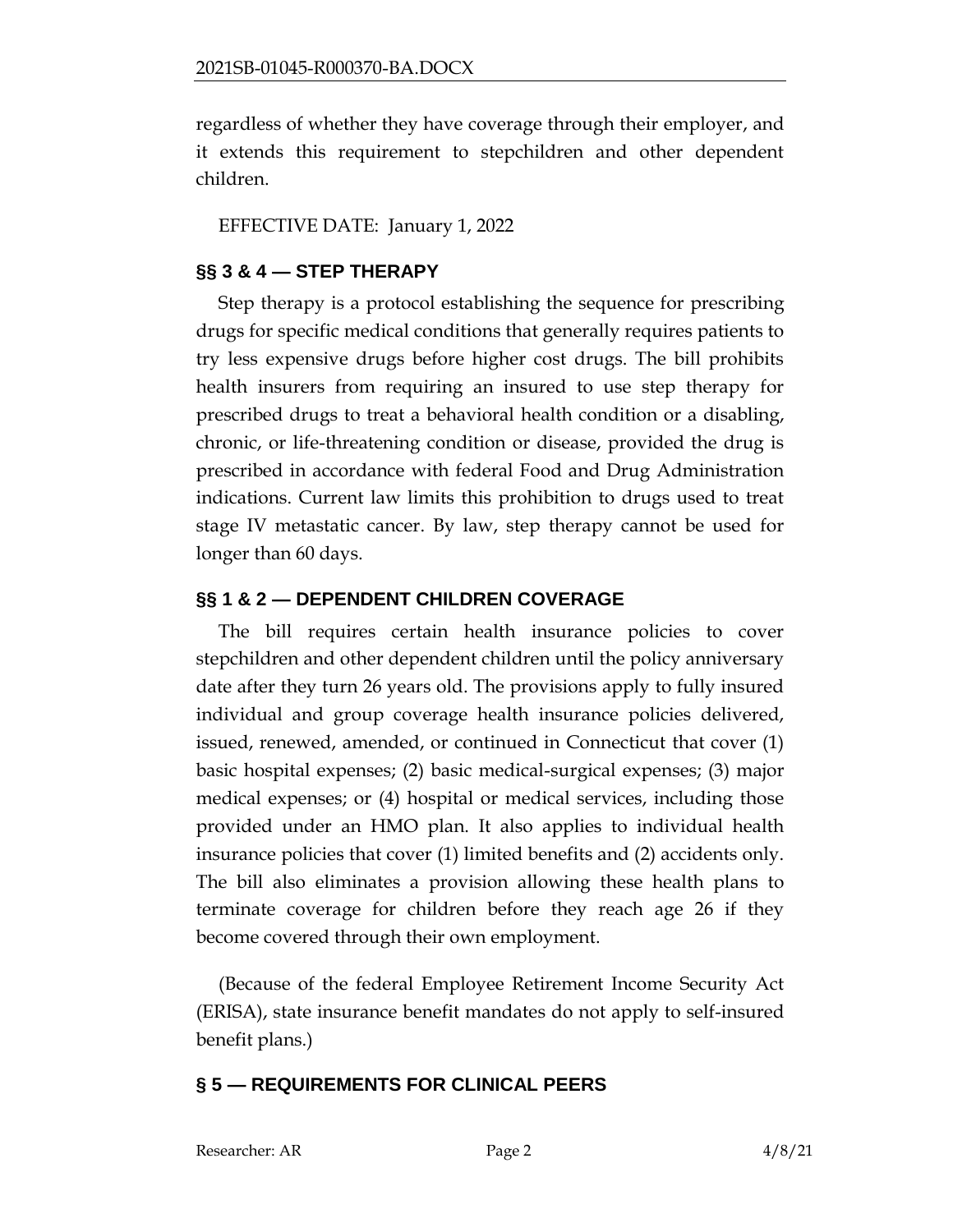regardless of whether they have coverage through their employer, and it extends this requirement to stepchildren and other dependent children.

EFFECTIVE DATE: January 1, 2022

## **§§ 3 & 4 — STEP THERAPY**

Step therapy is a protocol establishing the sequence for prescribing drugs for specific medical conditions that generally requires patients to try less expensive drugs before higher cost drugs. The bill prohibits health insurers from requiring an insured to use step therapy for prescribed drugs to treat a behavioral health condition or a disabling, chronic, or life-threatening condition or disease, provided the drug is prescribed in accordance with federal Food and Drug Administration indications. Current law limits this prohibition to drugs used to treat stage IV metastatic cancer. By law, step therapy cannot be used for longer than 60 days.

## **§§ 1 & 2 — DEPENDENT CHILDREN COVERAGE**

The bill requires certain health insurance policies to cover stepchildren and other dependent children until the policy anniversary date after they turn 26 years old. The provisions apply to fully insured individual and group coverage health insurance policies delivered, issued, renewed, amended, or continued in Connecticut that cover (1) basic hospital expenses; (2) basic medical-surgical expenses; (3) major medical expenses; or (4) hospital or medical services, including those provided under an HMO plan. It also applies to individual health insurance policies that cover (1) limited benefits and (2) accidents only. The bill also eliminates a provision allowing these health plans to terminate coverage for children before they reach age 26 if they become covered through their own employment.

(Because of the federal Employee Retirement Income Security Act (ERISA), state insurance benefit mandates do not apply to self-insured benefit plans.)

## **§ 5 — REQUIREMENTS FOR CLINICAL PEERS**